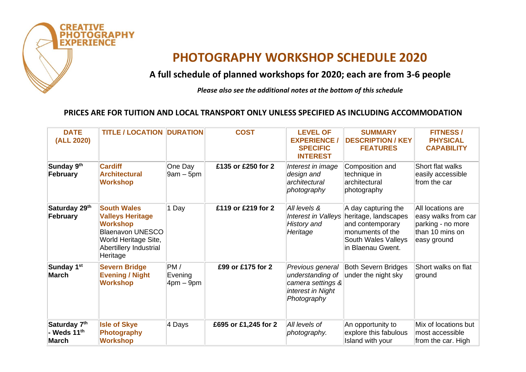

## **PHOTOGRAPHY WORKSHOP SCHEDULE 2020**

**A full schedule of planned workshops for 2020; each are from 3-6 people**

*Please also see the additional notes at the bottom of this schedule*

## **PRICES ARE FOR TUITION AND LOCAL TRANSPORT ONLY UNLESS SPECIFIED AS INCLUDING ACCOMMODATION**

| <b>DATE</b><br>(ALL 2020)                 | <b>TITLE / LOCATION</b>                                                                                                                                   | <b>DURATION</b>                   | <b>COST</b>          | <b>LEVEL OF</b><br><b>EXPERIENCE /</b><br><b>SPECIFIC</b><br><b>INTEREST</b>                  | <b>SUMMARY</b><br><b>DESCRIPTION / KEY</b><br><b>FEATURES</b>                                                                   | <b>FITNESS/</b><br><b>PHYSICAL</b><br><b>CAPABILITY</b>                                         |
|-------------------------------------------|-----------------------------------------------------------------------------------------------------------------------------------------------------------|-----------------------------------|----------------------|-----------------------------------------------------------------------------------------------|---------------------------------------------------------------------------------------------------------------------------------|-------------------------------------------------------------------------------------------------|
| Sunday 9 <sup>th</sup><br>February        | <b>Cardiff</b><br><b>Architectural</b><br><b>Workshop</b>                                                                                                 | One Day<br>$9am - 5pm$            | £135 or £250 for 2   | Interest in image<br>design and<br>architectural<br>photography                               | Composition and<br>technique in<br>architectural<br>photography                                                                 | Short flat walks<br>easily accessible<br>from the car                                           |
| Saturday 29th<br>February                 | <b>South Wales</b><br><b>Valleys Heritage</b><br><b>Workshop</b><br><b>Blaenavon UNESCO</b><br>World Heritage Site,<br>Abertillery Industrial<br>Heritage | 1 Day                             | £119 or £219 for 2   | All levels &<br>Interest in Valleys<br><b>History and</b><br>Heritage                         | A day capturing the<br>heritage, landscapes<br>and contemporary<br>monuments of the<br>South Wales Valleys<br>in Blaenau Gwent. | All locations are<br>easy walks from car<br>parking - no more<br>than 10 mins on<br>easy ground |
| Sunday 1 <sup>st</sup><br>March           | <b>Severn Bridge</b><br><b>Evening / Night</b><br><b>Workshop</b>                                                                                         | PM/<br>Evening<br>$4$ pm – $9$ pm | £99 or £175 for 2    | Previous general<br>understanding of<br>camera settings &<br>interest in Night<br>Photography | <b>Both Severn Bridges</b><br>under the night sky                                                                               | Short walks on flat<br>ground                                                                   |
| Saturday 7th<br>- Weds $11^{th}$<br>March | <b>Isle of Skye</b><br>Photography<br><b>Workshop</b>                                                                                                     | 4 Days                            | £695 or £1,245 for 2 | All levels of<br>photography.                                                                 | An opportunity to<br>explore this fabulous<br>Island with your                                                                  | Mix of locations but<br>most accessible<br>from the car. High                                   |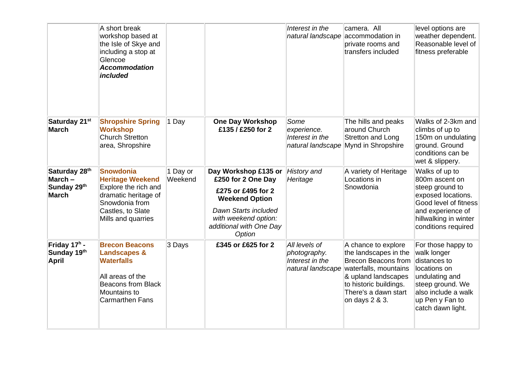|                                                           | A short break<br>workshop based at<br>the Isle of Skye and<br>including a stop at<br>Glencoe<br><b>Accommodation</b><br>included                          |                     |                                                                                                                                                                                | Interest in the<br>natural landscape                                  | camera. All<br>accommodation in<br>private rooms and<br>transfers included                                                                                                                     | level options are<br>weather dependent.<br>Reasonable level of<br>fitness preferable                                                                                    |
|-----------------------------------------------------------|-----------------------------------------------------------------------------------------------------------------------------------------------------------|---------------------|--------------------------------------------------------------------------------------------------------------------------------------------------------------------------------|-----------------------------------------------------------------------|------------------------------------------------------------------------------------------------------------------------------------------------------------------------------------------------|-------------------------------------------------------------------------------------------------------------------------------------------------------------------------|
| Saturday 21st<br><b>March</b>                             | <b>Shropshire Spring</b><br><b>Workshop</b><br><b>Church Stretton</b><br>area, Shropshire                                                                 | 1 Day               | <b>One Day Workshop</b><br>£135 / £250 for 2                                                                                                                                   | Some<br>experience.<br>Interest in the<br>natural landscape           | The hills and peaks<br>around Church<br><b>Stretton and Long</b><br>Mynd in Shropshire                                                                                                         | Walks of 2-3km and<br>climbs of up to<br>150m on undulating<br>ground. Ground<br>conditions can be<br>wet & slippery.                                                   |
| Saturday 28th<br>March $-$<br>Sunday 29th<br><b>March</b> | Snowdonia<br><b>Heritage Weekend</b><br>Explore the rich and<br>dramatic heritage of<br>Snowdonia from<br>Castles, to Slate<br>Mills and quarries         | 1 Day or<br>Weekend | Day Workshop £135 or<br>£250 for 2 One Day<br>£275 or £495 for 2<br><b>Weekend Option</b><br>Dawn Starts included<br>with weekend option:<br>additional with One Day<br>Option | History and<br>Heritage                                               | A variety of Heritage<br>Locations in<br>Snowdonia                                                                                                                                             | Walks of up to<br>800m ascent on<br>steep ground to<br>exposed locations.<br>Good level of fitness<br>and experience of<br>hillwalking in winter<br>conditions required |
| Friday 17 <sup>h</sup> -<br>Sunday 19th<br><b>April</b>   | <b>Brecon Beacons</b><br><b>Landscapes &amp;</b><br><b>Waterfalls</b><br>All areas of the<br><b>Beacons from Black</b><br>Mountains to<br>Carmarthen Fans | 3 Days              | £345 or £625 for 2                                                                                                                                                             | All levels of<br>photography.<br>Interest in the<br>natural landscape | A chance to explore<br>the landscapes in the<br><b>Brecon Beacons from</b><br>waterfalls, mountains<br>& upland landscapes<br>to historic buildings.<br>There's a dawn start<br>on days 2 & 3. | For those happy to<br>walk longer<br>distances to<br>locations on<br>undulating and<br>steep ground. We<br>also include a walk<br>up Pen y Fan to<br>catch dawn light.  |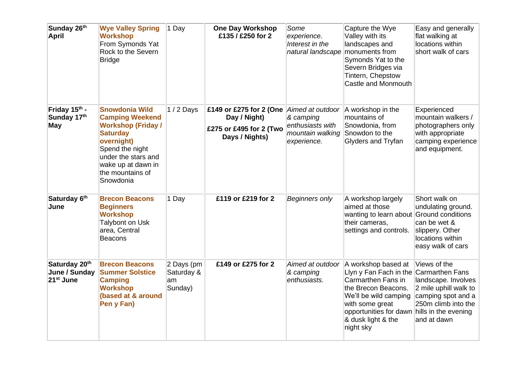| Sunday 26th<br><b>April</b>                             | <b>Wye Valley Spring</b><br><b>Workshop</b><br>From Symonds Yat<br>Rock to the Severn<br>Bridge                                                                                                                | 1 Day                                     | <b>One Day Workshop</b><br>£135 / £250 for 2                                         | Some<br>experience.<br>Interest in the<br>natural landscape                          | Capture the Wye<br>Valley with its<br>landscapes and<br>monuments from<br>Symonds Yat to the<br>Severn Bridges via<br>Tintern, Chepstow<br>Castle and Monmouth                                      | Easy and generally<br>flat walking at<br>locations within<br>short walk of cars                                                                                     |
|---------------------------------------------------------|----------------------------------------------------------------------------------------------------------------------------------------------------------------------------------------------------------------|-------------------------------------------|--------------------------------------------------------------------------------------|--------------------------------------------------------------------------------------|-----------------------------------------------------------------------------------------------------------------------------------------------------------------------------------------------------|---------------------------------------------------------------------------------------------------------------------------------------------------------------------|
| Friday 15th -<br>Sunday 17th<br><b>May</b>              | <b>Snowdonia Wild</b><br><b>Camping Weekend</b><br><b>Workshop (Friday /</b><br><b>Saturday</b><br>overnight)<br>Spend the night<br>under the stars and<br>wake up at dawn in<br>the mountains of<br>Snowdonia | $1/2$ Days                                | £149 or £275 for 2 (One<br>Day / Night)<br>£275 or £495 for 2 (Two<br>Days / Nights) | Aimed at outdoor<br>& camping<br>enthusiasts with<br>mountain walking<br>experience. | A workshop in the<br>mountains of<br>Snowdonia, from<br>Snowdon to the<br>Glyders and Tryfan                                                                                                        | Experienced<br>mountain walkers /<br>photographers only<br>with appropriate<br>camping experience<br>and equipment.                                                 |
| Saturday 6th<br>June                                    | <b>Brecon Beacons</b><br><b>Beginners</b><br><b>Workshop</b><br><b>Talybont on Usk</b><br>area, Central<br><b>Beacons</b>                                                                                      | 1 Day                                     | £119 or £219 for 2                                                                   | <b>Beginners only</b>                                                                | A workshop largely<br>aimed at those<br>wanting to learn about<br>their cameras,<br>settings and controls.                                                                                          | Short walk on<br>undulating ground.<br>Ground conditions<br>can be wet &<br>slippery. Other<br>locations within<br>easy walk of cars                                |
| Saturday 20th<br>June / Sunday<br>21 <sup>st</sup> June | <b>Brecon Beacons</b><br><b>Summer Solstice</b><br><b>Camping</b><br><b>Workshop</b><br>(based at & around<br>Pen y Fan)                                                                                       | 2 Days (pm<br>Saturday &<br>am<br>Sunday) | £149 or £275 for 2                                                                   | Aimed at outdoor<br>& camping<br>enthusiasts.                                        | A workshop based at<br>Llyn y Fan Fach in the<br>Carmarthen Fans in<br>the Brecon Beacons.<br>We'll be wild camping<br>with some great<br>opportunities for dawn<br>& dusk light & the<br>night sky | Views of the<br>Carmarthen Fans<br>landscape. Involves<br>2 mile uphill walk to<br>camping spot and a<br>250m climb into the<br>hills in the evening<br>and at dawn |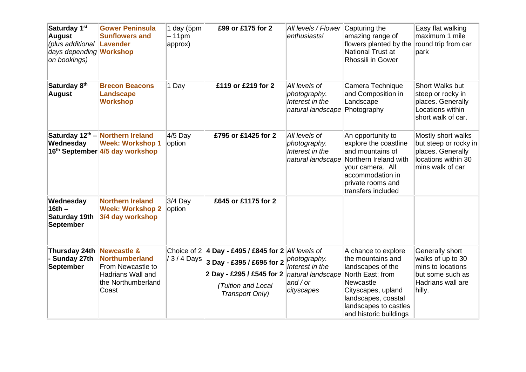| Saturday 1 <sup>st</sup><br><b>August</b><br>(plus additional<br>days depending <b>Workshop</b><br>on bookings) | <b>Gower Peninsula</b><br><b>Sunflowers and</b><br><b>Lavender</b>                                                       | 1 day (5pm<br>- 11pm<br>approx) | £99 or £175 for 2                                                                                                                            | All levels / Flower<br>enthusiasts!                                                   | Capturing the<br>amazing range of<br>flowers planted by the<br>National Trust at<br>Rhossili in Gower                                                                                          | Easy flat walking<br>maximum 1 mile<br>round trip from car<br>park                                           |
|-----------------------------------------------------------------------------------------------------------------|--------------------------------------------------------------------------------------------------------------------------|---------------------------------|----------------------------------------------------------------------------------------------------------------------------------------------|---------------------------------------------------------------------------------------|------------------------------------------------------------------------------------------------------------------------------------------------------------------------------------------------|--------------------------------------------------------------------------------------------------------------|
| Saturday 8 <sup>th</sup><br><b>August</b>                                                                       | <b>Brecon Beacons</b><br><b>Landscape</b><br><b>Workshop</b>                                                             | 1 Day                           | £119 or £219 for 2                                                                                                                           | All levels of<br>photography.<br>Interest in the<br>natural landscape                 | Camera Technique<br>and Composition in<br>Landscape<br>Photography                                                                                                                             | Short Walks but<br>steep or rocky in<br>places. Generally<br>Locations within<br>short walk of car.          |
| Wednesday                                                                                                       | Saturday 12 <sup>th</sup> – Northern Ireland<br><b>Week: Workshop 1</b><br>16 <sup>th</sup> September 4/5 day workshop   | 4/5 Day<br>option               | £795 or £1425 for 2                                                                                                                          | All levels of<br>photography.<br>Interest in the<br>natural landscape                 | An opportunity to<br>explore the coastline<br>and mountains of<br>Northern Ireland with<br>your camera. All<br>accommodation in<br>private rooms and<br>transfers included                     | Mostly short walks<br>but steep or rocky in<br>places. Generally<br>locations within 30<br>mins walk of car  |
| Wednesday<br>$16th -$<br>Saturday 19th<br>September                                                             | <b>Northern Ireland</b><br><b>Week: Workshop 2</b><br>3/4 day workshop                                                   | $3/4$ Day<br>option             | £645 or £1175 for 2                                                                                                                          |                                                                                       |                                                                                                                                                                                                |                                                                                                              |
| Thursday 24th<br>Sunday 27th<br><b>September</b>                                                                | <b>Newcastle &amp;</b><br><b>Northumberland</b><br>From Newcastle to<br>Hadrians Wall and<br>the Northumberland<br>Coast | Choice of 2<br>/3/4 Days        | 4 Day - £495 / £845 for $2$ All levels of<br>3 Day - £395 / £695 for 2<br>2 Day - £295 / £545 for 2<br>(Tuition and Local<br>Transport Only) | photography.<br>Interest in the<br>natural landscape<br>and $\prime$ or<br>cityscapes | A chance to explore<br>the mountains and<br>landscapes of the<br>North East; from<br>Newcastle<br>Cityscapes, upland<br>landscapes, coastal<br>landscapes to castles<br>and historic buildings | Generally short<br>walks of up to 30<br>mins to locations<br>but some such as<br>Hadrians wall are<br>hilly. |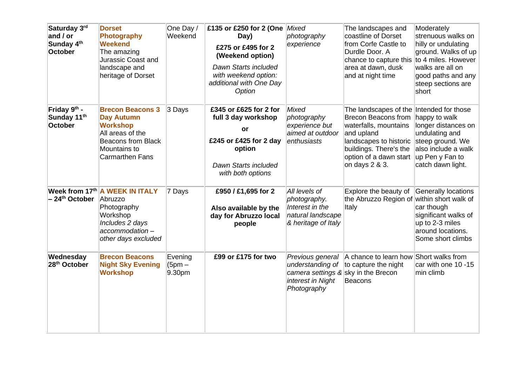| Saturday 3rd<br>and / or<br>Sunday 4 <sup>th</sup><br>October | <b>Dorset</b><br><b>Photography</b><br><b>Weekend</b><br>The amazing<br>Jurassic Coast and<br>landscape and<br>heritage of Dorset                          | One Day /<br>Weekend          | £135 or £250 for 2 (One Mixed<br>Day)<br>£275 or £495 for 2<br>(Weekend option)<br>Dawn Starts included<br>with weekend option:<br>additional with One Day<br>Option | photography<br>experience                                                                     | The landscapes and<br>coastline of Dorset<br>from Corfe Castle to<br>Durdle Door. A<br>chance to capture this<br>area at dawn, dusk<br>and at night time                                                      | Moderately<br>strenuous walks on<br>hilly or undulating<br>ground. Walks of up<br>to 4 miles. However<br>walks are all on<br>good paths and any<br>steep sections are<br>short |
|---------------------------------------------------------------|------------------------------------------------------------------------------------------------------------------------------------------------------------|-------------------------------|----------------------------------------------------------------------------------------------------------------------------------------------------------------------|-----------------------------------------------------------------------------------------------|---------------------------------------------------------------------------------------------------------------------------------------------------------------------------------------------------------------|--------------------------------------------------------------------------------------------------------------------------------------------------------------------------------|
| Friday 9th -<br>Sunday 11 <sup>th</sup><br><b>October</b>     | <b>Brecon Beacons 3</b><br><b>Day Autumn</b><br><b>Workshop</b><br>All areas of the<br><b>Beacons from Black</b><br>Mountains to<br><b>Carmarthen Fans</b> | 3 Days                        | £345 or £625 for 2 for<br>full 3 day workshop<br>or<br>£245 or £425 for 2 day<br>option<br>Dawn Starts included<br>with both options                                 | Mixed<br>photography<br>experience but<br>aimed at outdoor<br>enthusiasts                     | The landscapes of the Intended for those<br><b>Brecon Beacons from</b><br>waterfalls, mountains<br>and upland<br>landscapes to historic<br>buildings. There's the<br>option of a dawn start<br>on days 2 & 3. | happy to walk<br>longer distances on<br>undulating and<br>steep ground. We<br>also include a walk<br>up Pen y Fan to<br>catch dawn light.                                      |
| - 24 <sup>th</sup> October                                    | <b>Week from 17th A WEEK IN ITALY</b><br>Abruzzo<br>Photography<br>Workshop<br>Includes 2 days<br>$accommodation -$<br>other days excluded                 | 7 Days                        | £950 / £1,695 for 2<br>Also available by the<br>day for Abruzzo local<br>people                                                                                      | All levels of<br>photography.<br>Interest in the<br>natural landscape<br>& heritage of Italy  | Explore the beauty of<br>the Abruzzo Region of<br>Italy                                                                                                                                                       | <b>Generally locations</b><br>within short walk of<br>car though<br>significant walks of<br>up to 2-3 miles<br>around locations.<br>Some short climbs                          |
| Wednesday<br>28 <sup>th</sup> October                         | <b>Brecon Beacons</b><br><b>Night Sky Evening</b><br><b>Workshop</b>                                                                                       | Evening<br>$(5pm -$<br>9.30pm | £99 or £175 for two                                                                                                                                                  | Previous general<br>understanding of<br>camera settings &<br>interest in Night<br>Photography | A chance to learn how<br>to capture the night<br>sky in the Brecon<br>Beacons                                                                                                                                 | Short walks from<br>car with one 10 -15<br>min climb                                                                                                                           |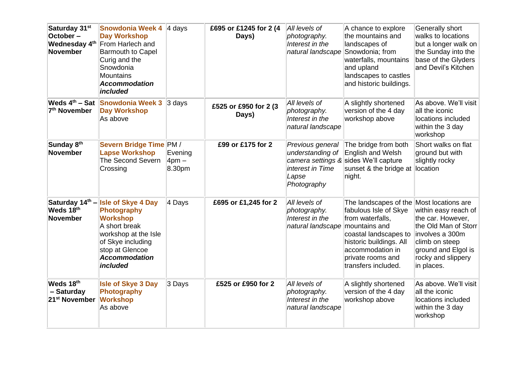| Saturday 31 <sup>st</sup><br>October-<br>Wednesday 4 <sup>th</sup><br>November | <b>Snowdonia Week 4</b><br><b>Day Workshop</b><br>From Harlech and<br><b>Barmouth to Capel</b><br>Curig and the<br>Snowdonia<br><b>Mountains</b><br><b>Accommodation</b><br>included    | $4$ days                        | £695 or £1245 for 2 (4<br>Days) | All levels of<br>photography.<br>Interest in the<br>natural landscape            | A chance to explore<br>the mountains and<br>landscapes of<br>Snowdonia; from<br>waterfalls, mountains<br>and upland<br>landscapes to castles<br>and historic buildings.                                 | Generally short<br>walks to locations<br>but a longer walk on<br>the Sunday into the<br>base of the Glyders<br>and Devil's Kitchen                                                      |
|--------------------------------------------------------------------------------|-----------------------------------------------------------------------------------------------------------------------------------------------------------------------------------------|---------------------------------|---------------------------------|----------------------------------------------------------------------------------|---------------------------------------------------------------------------------------------------------------------------------------------------------------------------------------------------------|-----------------------------------------------------------------------------------------------------------------------------------------------------------------------------------------|
| Weds 4 <sup>th</sup> – Sat<br>7 <sup>th</sup> November                         | <b>Snowdonia Week 3</b><br><b>Day Workshop</b><br>As above                                                                                                                              | $3$ days                        | £525 or £950 for 2 (3)<br>Days) | All levels of<br>photography.<br>Interest in the<br>natural landscape            | A slightly shortened<br>version of the 4 day<br>workshop above                                                                                                                                          | As above. We'll visit<br>all the iconic<br>locations included<br>within the 3 day<br>workshop                                                                                           |
| Sunday 8 <sup>th</sup><br>November                                             | Severn Bridge Time PM /<br><b>Lapse Workshop</b><br><b>The Second Severn</b><br>Crossing                                                                                                | Evening<br>$4$ pm $-$<br>8.30pm | £99 or £175 for 2               | Previous general<br>understanding of<br>interest in Time<br>Lapse<br>Photography | The bridge from both<br>English and Welsh<br>camera settings & sides We'll capture<br>sunset & the bridge at<br>night.                                                                                  | Short walks on flat<br>ground but with<br>slightly rocky<br>location                                                                                                                    |
| Saturday 14th -<br>Weds 18 <sup>th</sup><br>November                           | <b>Isle of Skye 4 Day</b><br><b>Photography</b><br><b>Workshop</b><br>A short break<br>workshop at the Isle<br>of Skye including<br>stop at Glencoe<br><b>Accommodation</b><br>included | 4 Days                          | £695 or £1,245 for 2            | All levels of<br>photography.<br>Interest in the<br>natural landscape            | The landscapes of the<br>fabulous Isle of Skye<br>from waterfalls,<br>mountains and<br>coastal landscapes to<br>historic buildings. All<br>accommodation in<br>private rooms and<br>transfers included. | Most locations are<br>within easy reach of<br>the car. However,<br>the Old Man of Storr<br>involves a 300m<br>climb on steep<br>ground and Elgol is<br>rocky and slippery<br>in places. |
| Weds 18 <sup>th</sup><br>- Saturday<br>21 <sup>st</sup> November               | <b>Isle of Skye 3 Day</b><br>Photography<br><b>Workshop</b><br>As above                                                                                                                 | 3 Days                          | £525 or £950 for 2              | All levels of<br>photography.<br>Interest in the<br>natural landscape            | A slightly shortened<br>version of the 4 day<br>workshop above                                                                                                                                          | As above. We'll visit<br>all the iconic<br>locations included<br>within the 3 day<br>workshop                                                                                           |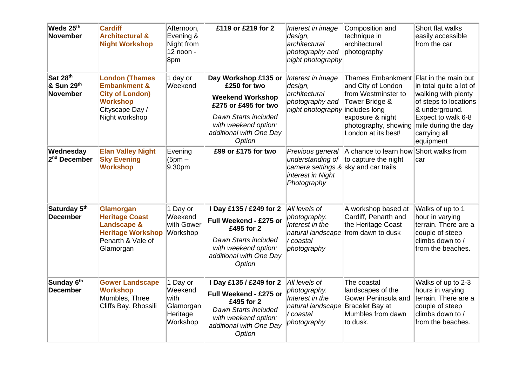| Weds 25th<br><b>November</b>          | <b>Cardiff</b><br><b>Architectural &amp;</b><br><b>Night Workshop</b>                                                              | Afternoon,<br>Evening &<br>Night from<br>12 noon -<br>8pm        | £119 or £219 for 2                                                                                                                                                           | Interest in image<br>design,<br>architectural<br>photography and<br>night photography                            | Composition and<br>technique in<br>architectural<br>photography                                                                                                             | Short flat walks<br>easily accessible<br>from the car                                                                                                                                       |
|---------------------------------------|------------------------------------------------------------------------------------------------------------------------------------|------------------------------------------------------------------|------------------------------------------------------------------------------------------------------------------------------------------------------------------------------|------------------------------------------------------------------------------------------------------------------|-----------------------------------------------------------------------------------------------------------------------------------------------------------------------------|---------------------------------------------------------------------------------------------------------------------------------------------------------------------------------------------|
| Sat 28th<br>& Sun 29th<br>November    | <b>London (Thames</b><br><b>Embankment &amp;</b><br><b>City of London)</b><br><b>Workshop</b><br>Cityscape Day /<br>Night workshop | 1 day or<br>Weekend                                              | Day Workshop £135 or<br>£250 for two<br><b>Weekend Workshop</b><br>£275 or £495 for two<br>Dawn Starts included<br>with weekend option:<br>additional with One Day<br>Option | Interest in image<br>design,<br>architectural<br>photography and<br>night photography                            | <b>Thames Embankment</b><br>and City of London<br>from Westminster to<br>Tower Bridge &<br>includes long<br>exposure & night<br>photography, showing<br>London at its best! | Flat in the main but<br>in total quite a lot of<br>walking with plenty<br>of steps to locations<br>& underground.<br>Expect to walk 6-8<br>mile during the day<br>carrying all<br>equipment |
| Wednesday<br>2 <sup>nd</sup> December | <b>Elan Valley Night</b><br><b>Sky Evening</b><br><b>Workshop</b>                                                                  | Evening<br>$(5pm -$<br>9.30pm                                    | £99 or £175 for two                                                                                                                                                          | Previous general<br>understanding of<br>camera settings & sky and car trails<br>interest in Night<br>Photography | A chance to learn how<br>to capture the night                                                                                                                               | Short walks from<br>car                                                                                                                                                                     |
| Saturday 5th<br><b>December</b>       | Glamorgan<br><b>Heritage Coast</b><br><b>Landscape &amp;</b><br><b>Heritage Workshop</b><br>Penarth & Vale of<br>Glamorgan         | 1 Day or<br>Weekend<br>with Gower<br>Workshop                    | I Day £135 / £249 for 2<br>Full Weekend - £275 or<br>£495 for 2<br>Dawn Starts included<br>with weekend option:<br>additional with One Day<br>Option                         | All levels of<br>photography.<br>Interest in the<br>natural landscape<br>/ coastal<br>photography                | A workshop based at<br>Cardiff, Penarth and<br>the Heritage Coast<br>from dawn to dusk                                                                                      | Walks of up to 1<br>hour in varying<br>terrain. There are a<br>couple of steep<br>climbs down to /<br>from the beaches.                                                                     |
| Sunday 6th<br><b>December</b>         | <b>Gower Landscape</b><br><b>Workshop</b><br>Mumbles, Three<br>Cliffs Bay, Rhossili                                                | 1 Day or<br>Weekend<br>with<br>Glamorgan<br>Heritage<br>Workshop | I Day £135 / £249 for 2<br>Full Weekend - £275 or<br>£495 for 2<br>Dawn Starts included<br>with weekend option:<br>additional with One Day<br>Option                         | All levels of<br>photography.<br>Interest in the<br>natural landscape<br>/ coastal<br>photography                | The coastal<br>landscapes of the<br>Gower Peninsula and<br>Bracelet Bay at<br>Mumbles from dawn<br>to dusk.                                                                 | Walks of up to 2-3<br>hours in varying<br>terrain. There are a<br>couple of steep<br>climbs down to /<br>from the beaches.                                                                  |